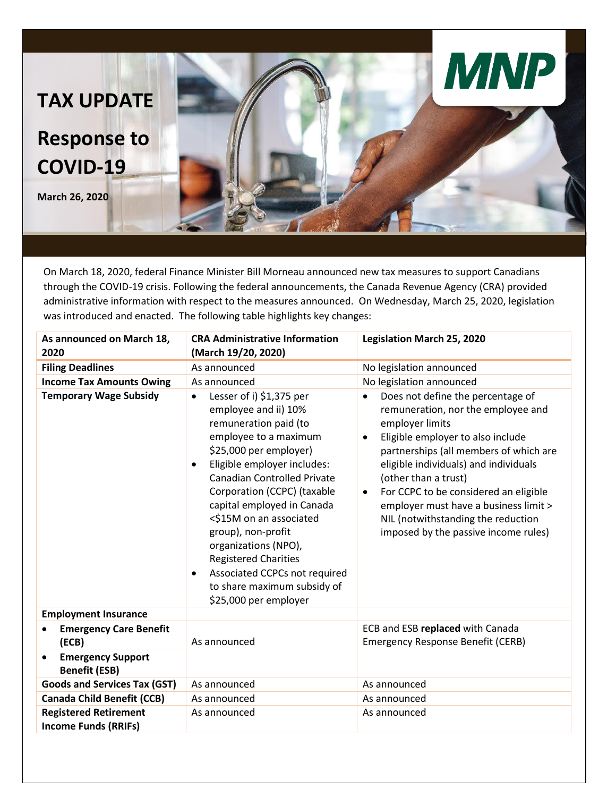

On March 18, 2020, federal Finance Minister Bill Morneau announced new tax measures to support Canadians through the COVID-19 crisis. Following the federal announcements, the Canada Revenue Agency (CRA) provided administrative information with respect to the measures announced. On Wednesday, March 25, 2020, legislation was introduced and enacted. The following table highlights key changes:

| As announced on March 18,<br>2020                             | <b>CRA Administrative Information</b><br>(March 19/20, 2020)                                                                                                                                                                                                                                                                                                                                                                                                                                           | <b>Legislation March 25, 2020</b>                                                                                                                                                                                                                                                                                                                                                                                                                 |
|---------------------------------------------------------------|--------------------------------------------------------------------------------------------------------------------------------------------------------------------------------------------------------------------------------------------------------------------------------------------------------------------------------------------------------------------------------------------------------------------------------------------------------------------------------------------------------|---------------------------------------------------------------------------------------------------------------------------------------------------------------------------------------------------------------------------------------------------------------------------------------------------------------------------------------------------------------------------------------------------------------------------------------------------|
| <b>Filing Deadlines</b>                                       | As announced                                                                                                                                                                                                                                                                                                                                                                                                                                                                                           | No legislation announced                                                                                                                                                                                                                                                                                                                                                                                                                          |
| <b>Income Tax Amounts Owing</b>                               | As announced                                                                                                                                                                                                                                                                                                                                                                                                                                                                                           | No legislation announced                                                                                                                                                                                                                                                                                                                                                                                                                          |
| <b>Temporary Wage Subsidy</b>                                 | Lesser of i) \$1,375 per<br>$\bullet$<br>employee and ii) 10%<br>remuneration paid (to<br>employee to a maximum<br>\$25,000 per employer)<br>Eligible employer includes:<br>$\bullet$<br><b>Canadian Controlled Private</b><br>Corporation (CCPC) (taxable<br>capital employed in Canada<br><\$15M on an associated<br>group), non-profit<br>organizations (NPO),<br><b>Registered Charities</b><br>Associated CCPCs not required<br>$\bullet$<br>to share maximum subsidy of<br>\$25,000 per employer | Does not define the percentage of<br>$\bullet$<br>remuneration, nor the employee and<br>employer limits<br>Eligible employer to also include<br>$\bullet$<br>partnerships (all members of which are<br>eligible individuals) and individuals<br>(other than a trust)<br>For CCPC to be considered an eligible<br>$\bullet$<br>employer must have a business limit ><br>NIL (notwithstanding the reduction<br>imposed by the passive income rules) |
| <b>Employment Insurance</b>                                   |                                                                                                                                                                                                                                                                                                                                                                                                                                                                                                        |                                                                                                                                                                                                                                                                                                                                                                                                                                                   |
| <b>Emergency Care Benefit</b><br>(ECB)                        | As announced                                                                                                                                                                                                                                                                                                                                                                                                                                                                                           | ECB and ESB replaced with Canada<br><b>Emergency Response Benefit (CERB)</b>                                                                                                                                                                                                                                                                                                                                                                      |
| <b>Emergency Support</b><br>$\bullet$<br><b>Benefit (ESB)</b> |                                                                                                                                                                                                                                                                                                                                                                                                                                                                                                        |                                                                                                                                                                                                                                                                                                                                                                                                                                                   |
| <b>Goods and Services Tax (GST)</b>                           | As announced                                                                                                                                                                                                                                                                                                                                                                                                                                                                                           | As announced                                                                                                                                                                                                                                                                                                                                                                                                                                      |
| <b>Canada Child Benefit (CCB)</b>                             | As announced                                                                                                                                                                                                                                                                                                                                                                                                                                                                                           | As announced                                                                                                                                                                                                                                                                                                                                                                                                                                      |
| <b>Registered Retirement</b><br><b>Income Funds (RRIFs)</b>   | As announced                                                                                                                                                                                                                                                                                                                                                                                                                                                                                           | As announced                                                                                                                                                                                                                                                                                                                                                                                                                                      |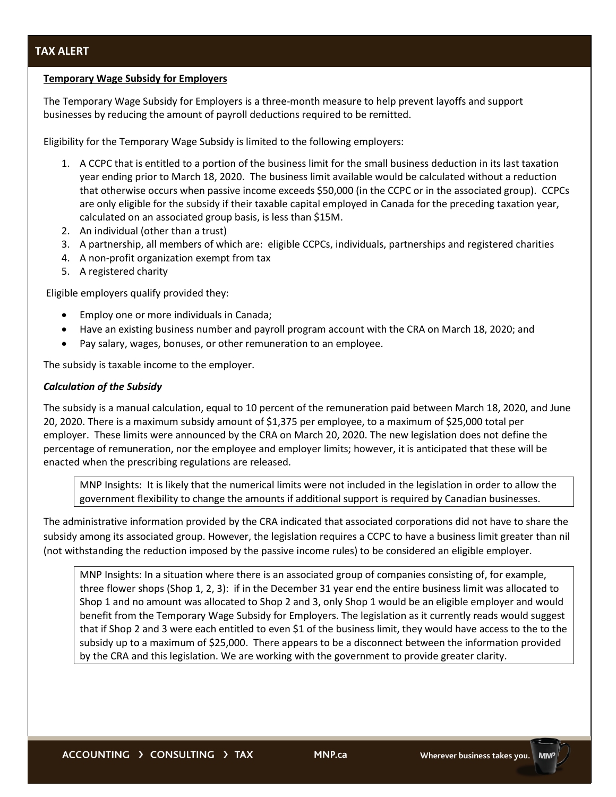## **Temporary Wage Subsidy for Employers**

The Temporary Wage Subsidy for Employers is a three-month measure to help prevent layoffs and support businesses by reducing the amount of payroll deductions required to be remitted.

Eligibility for the Temporary Wage Subsidy is limited to the following employers:

- 1. A CCPC that is entitled to a portion of the business limit for the small business deduction in its last taxation year ending prior to March 18, 2020. The business limit available would be calculated without a reduction that otherwise occurs when passive income exceeds \$50,000 (in the CCPC or in the associated group). CCPCs are only eligible for the subsidy if their taxable capital employed in Canada for the preceding taxation year, calculated on an associated group basis, is less than \$15M.
- 2. An individual (other than a trust)
- 3. A partnership, all members of which are: eligible CCPCs, individuals, partnerships and registered charities
- 4. A non-profit organization exempt from tax
- 5. A registered charity

Eligible employers qualify provided they:

- Employ one or more individuals in Canada;
- Have an existing business number and payroll program account with the CRA on March 18, 2020; and
- Pay salary, wages, bonuses, or other remuneration to an employee.

The subsidy is taxable income to the employer.

## *Calculation of the Subsidy*

The subsidy is a manual calculation, equal to 10 percent of the remuneration paid between March 18, 2020, and June 20, 2020. There is a maximum subsidy amount of \$1,375 per employee, to a maximum of \$25,000 total per employer. These limits were announced by the CRA on March 20, 2020. The new legislation does not define the percentage of remuneration, nor the employee and employer limits; however, it is anticipated that these will be enacted when the prescribing regulations are released.

MNP Insights: It is likely that the numerical limits were not included in the legislation in order to allow the government flexibility to change the amounts if additional support is required by Canadian businesses.

The administrative information provided by the CRA indicated that associated corporations did not have to share the subsidy among its associated group. However, the legislation requires a CCPC to have a business limit greater than nil (not withstanding the reduction imposed by the passive income rules) to be considered an eligible employer.

MNP Insights: In a situation where there is an associated group of companies consisting of, for example, three flower shops (Shop 1, 2, 3): if in the December 31 year end the entire business limit was allocated to Shop 1 and no amount was allocated to Shop 2 and 3, only Shop 1 would be an eligible employer and would benefit from the Temporary Wage Subsidy for Employers. The legislation as it currently reads would suggest that if Shop 2 and 3 were each entitled to even \$1 of the business limit, they would have access to the to the subsidy up to a maximum of \$25,000. There appears to be a disconnect between the information provided by the CRA and this legislation. We are working with the government to provide greater clarity.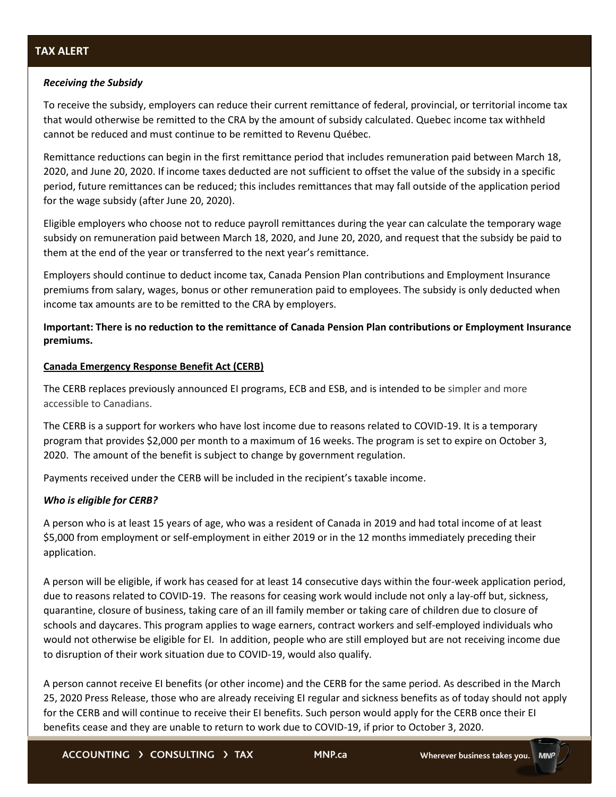# *Receiving the Subsidy*

To receive the subsidy, employers can reduce their current remittance of federal, provincial, or territorial income tax that would otherwise be remitted to the CRA by the amount of subsidy calculated. Quebec income tax withheld cannot be reduced and must continue to be remitted to Revenu Québec.

Remittance reductions can begin in the first remittance period that includes remuneration paid between March 18, 2020, and June 20, 2020. If income taxes deducted are not sufficient to offset the value of the subsidy in a specific period, future remittances can be reduced; this includes remittances that may fall outside of the application period for the wage subsidy (after June 20, 2020).

Eligible employers who choose not to reduce payroll remittances during the year can calculate the temporary wage subsidy on remuneration paid between March 18, 2020, and June 20, 2020, and request that the subsidy be paid to them at the end of the year or transferred to the next year's remittance.

Employers should continue to deduct income tax, Canada Pension Plan contributions and Employment Insurance premiums from salary, wages, bonus or other remuneration paid to employees. The subsidy is only deducted when income tax amounts are to be remitted to the CRA by employers.

# **Important: There is no reduction to the remittance of Canada Pension Plan contributions or Employment Insurance premiums.**

## **Canada Emergency Response Benefit Act (CERB)**

The CERB replaces previously announced EI programs, ECB and ESB, and is intended to be simpler and more accessible to Canadians.

The CERB is a support for workers who have lost income due to reasons related to COVID-19. It is a temporary program that provides \$2,000 per month to a maximum of 16 weeks. The program is set to expire on October 3, 2020. The amount of the benefit is subject to change by government regulation.

Payments received under the CERB will be included in the recipient's taxable income.

# *Who is eligible for CERB?*

A person who is at least 15 years of age, who was a resident of Canada in 2019 and had total income of at least \$5,000 from employment or self-employment in either 2019 or in the 12 months immediately preceding their application.

A person will be eligible, if work has ceased for at least 14 consecutive days within the four-week application period, due to reasons related to COVID-19. The reasons for ceasing work would include not only a lay-off but, sickness, quarantine, closure of business, taking care of an ill family member or taking care of children due to closure of schools and daycares. This program applies to wage earners, contract workers and self-employed individuals who would not otherwise be eligible for EI. In addition, people who are still employed but are not receiving income due to disruption of their work situation due to COVID-19, would also qualify.

A person cannot receive EI benefits (or other income) and the CERB for the same period. As described in the March 25, 2020 Press Release, those who are already receiving EI regular and sickness benefits as of today should not apply for the CERB and will continue to receive their EI benefits. Such person would apply for the CERB once their EI benefits cease and they are unable to return to work due to COVID-19, if prior to October 3, 2020.

ACCOUNTING > CONSULTING > TAX

**MNP.ca**